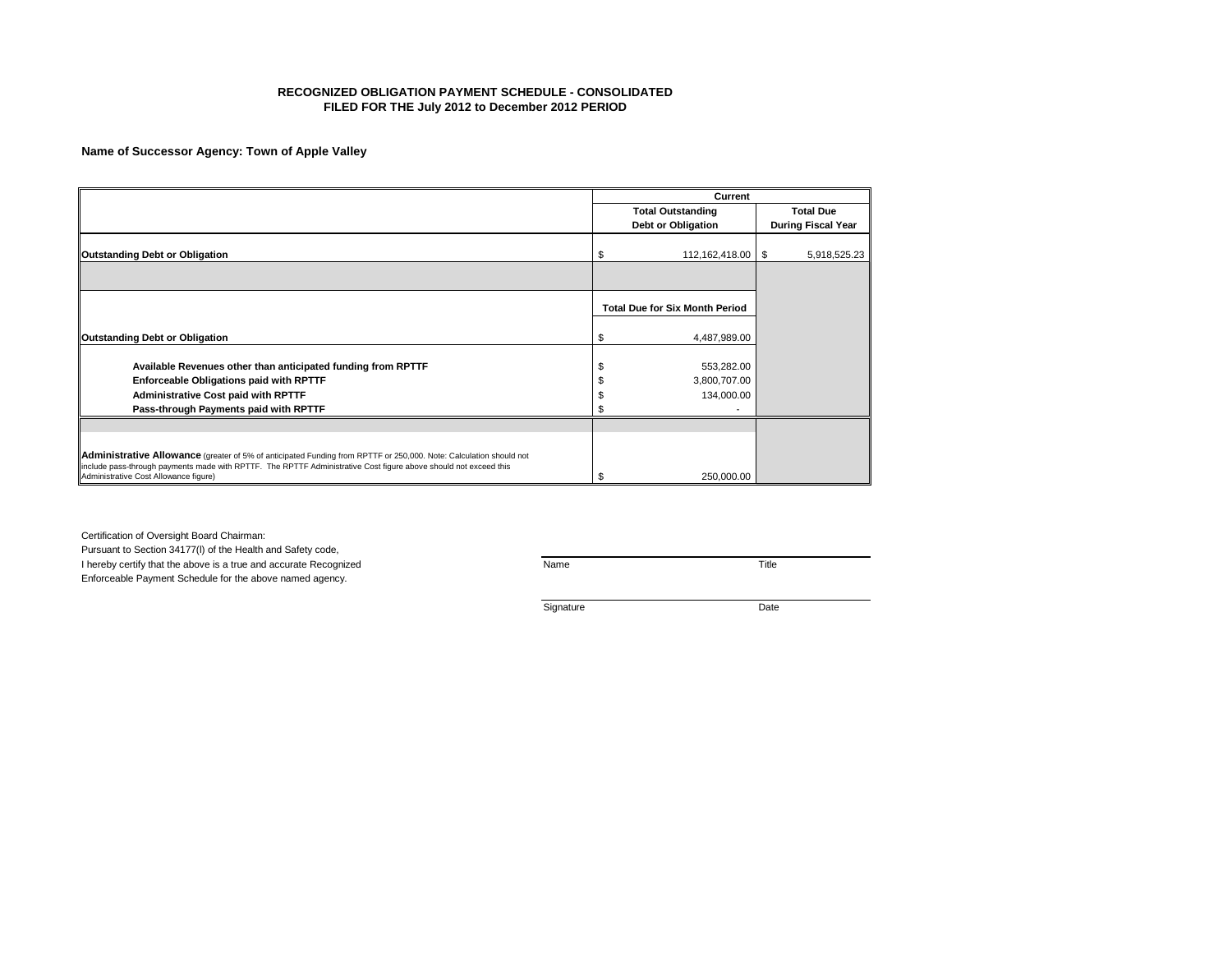## **RECOGNIZED OBLIGATION PAYMENT SCHEDULE - CONSOLIDATED FILED FOR THE July 2012 to December 2012 PERIOD**

# **Name of Successor Agency: Town of Apple Valley**

|                                                                                                                                                           |     | Current                               |     |                           |
|-----------------------------------------------------------------------------------------------------------------------------------------------------------|-----|---------------------------------------|-----|---------------------------|
|                                                                                                                                                           |     | <b>Total Outstanding</b>              |     | <b>Total Due</b>          |
|                                                                                                                                                           |     | Debt or Obligation                    |     | <b>During Fiscal Year</b> |
| Outstanding Debt or Obligation                                                                                                                            |     | 112,162,418.00                        | -\$ | 5,918,525.23              |
|                                                                                                                                                           |     |                                       |     |                           |
|                                                                                                                                                           |     |                                       |     |                           |
|                                                                                                                                                           |     |                                       |     |                           |
|                                                                                                                                                           |     | <b>Total Due for Six Month Period</b> |     |                           |
| Outstanding Debt or Obligation                                                                                                                            | S   | 4,487,989.00                          |     |                           |
|                                                                                                                                                           |     |                                       |     |                           |
| Available Revenues other than anticipated funding from RPTTF                                                                                              |     | 553,282.00                            |     |                           |
| Enforceable Obligations paid with RPTTF                                                                                                                   |     | 3,800,707.00                          |     |                           |
| <b>Administrative Cost paid with RPTTF</b>                                                                                                                |     | 134,000.00                            |     |                           |
| Pass-through Payments paid with RPTTF                                                                                                                     |     |                                       |     |                           |
|                                                                                                                                                           |     |                                       |     |                           |
|                                                                                                                                                           |     |                                       |     |                           |
| Administrative Allowance (greater of 5% of anticipated Funding from RPTTF or 250,000. Note: Calculation should not                                        |     |                                       |     |                           |
| include pass-through payments made with RPTTF. The RPTTF Administrative Cost figure above should not exceed this<br>Administrative Cost Allowance figure) | \$. | 250,000.00                            |     |                           |

Certification of Oversight Board Chairman:

Pursuant to Section 34177(l) of the Health and Safety code, I hereby certify that the above is a true and accurate Recognized Name Name Name Name Title Enforceable Payment Schedule for the above named agency.

Signature Date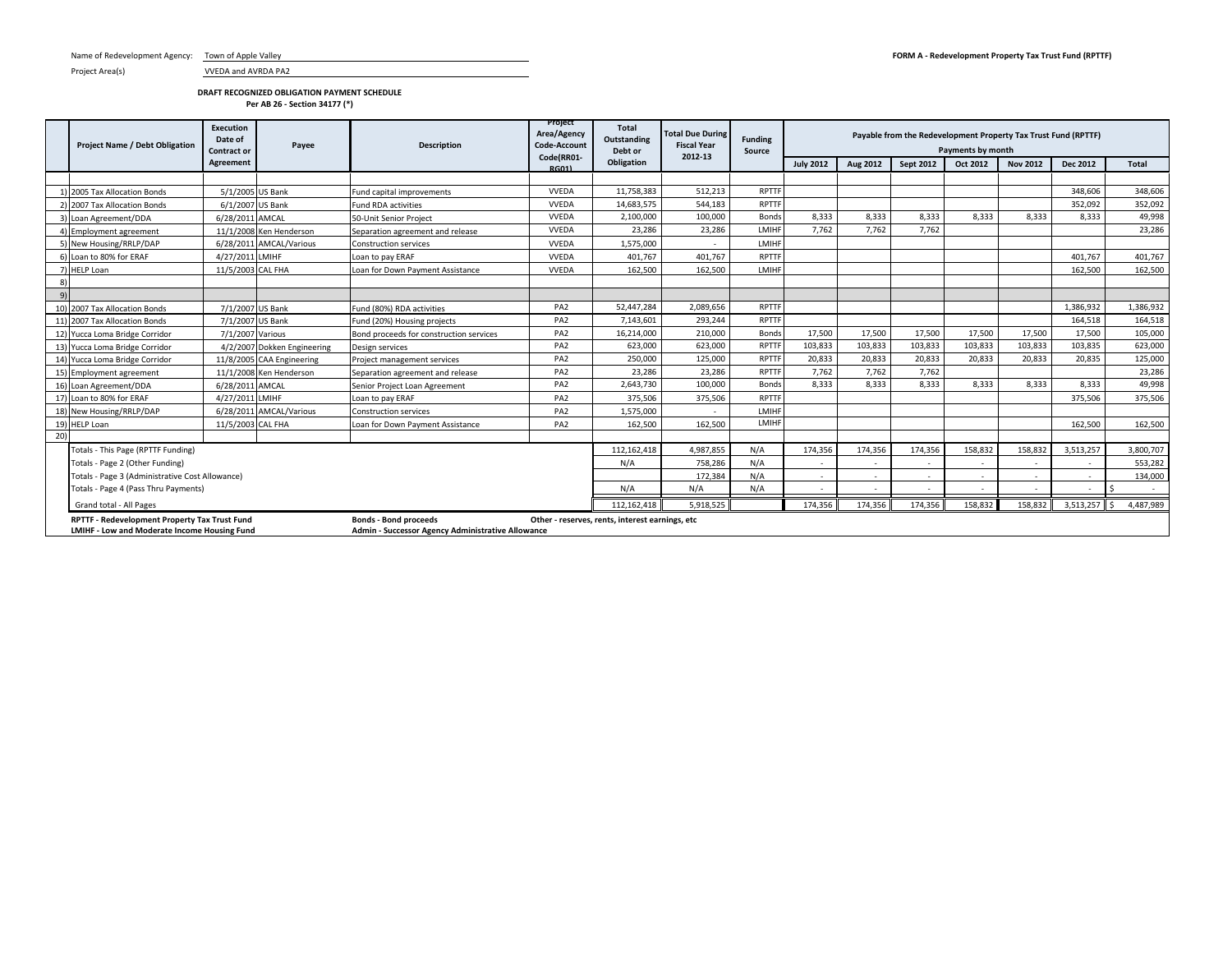Project Area(s) VVEDA and AVRDA PA2

### **DRAFT RECOGNIZED OBLIGATION PAYMENT SCHEDULE Per AB 26 - Section 34177 (\*)**

|                  | <b>Project Name / Debt Obligation</b>                                                         | Execution<br>Date of<br><b>Contract or</b> | Payee                       | <b>Description</b>                                                                | Project<br>Area/Agency<br>Code-Account<br>Code(RR01- | <b>Total</b><br>Outstanding<br>Debt or          | <b>Total Due During</b><br><b>Fiscal Year</b><br>2012-13 | <b>Funding</b><br>Source | Payable from the Redevelopment Property Tax Trust Fund (RPTTF)<br>Payments by month |          |                  |          |                 |                 |           |
|------------------|-----------------------------------------------------------------------------------------------|--------------------------------------------|-----------------------------|-----------------------------------------------------------------------------------|------------------------------------------------------|-------------------------------------------------|----------------------------------------------------------|--------------------------|-------------------------------------------------------------------------------------|----------|------------------|----------|-----------------|-----------------|-----------|
|                  |                                                                                               | Agreement                                  |                             |                                                                                   | <b>RG01)</b>                                         | Obligation                                      |                                                          |                          | <b>July 2012</b>                                                                    | Aug 2012 | <b>Sept 2012</b> | Oct 2012 | <b>Nov 2012</b> | <b>Dec 2012</b> | Total     |
|                  |                                                                                               |                                            |                             |                                                                                   |                                                      |                                                 |                                                          |                          |                                                                                     |          |                  |          |                 |                 |           |
|                  | 1) 2005 Tax Allocation Bonds                                                                  | 5/1/2005 US Bank                           |                             | Fund capital improvements                                                         | <b>VVEDA</b>                                         | 11,758,383                                      | 512.213                                                  | <b>RPTTF</b>             |                                                                                     |          |                  |          |                 | 348,606         | 348,606   |
|                  | 2) 2007 Tax Allocation Bonds                                                                  | 6/1/2007                                   | US Bank                     | <b>Fund RDA activities</b>                                                        | <b>VVEDA</b>                                         | 14,683,575                                      | 544,183                                                  | RPTTF                    |                                                                                     |          |                  |          |                 | 352.092         | 352,092   |
|                  | 3) Loan Agreement/DDA                                                                         | 6/28/2011 AMCAL                            |                             | 50-Unit Senior Project                                                            | <b>VVEDA</b>                                         | 2,100,000                                       | 100,000                                                  | Bonds                    | 8.333                                                                               | 8.333    | 8,333            | 8.333    | 8,333           | 8.333           | 49,998    |
|                  | <b>Employment agreement</b>                                                                   |                                            | 11/1/2008 Ken Henderson     | Separation agreement and release                                                  | <b>VVEDA</b>                                         | 23.286                                          | 23,286                                                   | LMIHF                    | 7,762                                                                               | 7.762    | 7,762            |          |                 |                 | 23,286    |
|                  | 5) New Housing/RRLP/DAP                                                                       |                                            | 6/28/2011 AMCAL/Various     | <b>Construction services</b>                                                      | <b>VVEDA</b>                                         | 1.575.000                                       | $\overline{\phantom{a}}$                                 | LMIHF                    |                                                                                     |          |                  |          |                 |                 |           |
|                  | 6) Loan to 80% for ERAF                                                                       | 4/27/2011 LMIHF                            |                             | Loan to pay ERAF                                                                  | <b>VVEDA</b>                                         | 401,767                                         | 401,767                                                  | RPTTF                    |                                                                                     |          |                  |          |                 | 401.767         | 401,767   |
|                  | 7) HELP Loan                                                                                  | 11/5/2003 CAL FHA                          |                             | Loan for Down Payment Assistance                                                  | <b>VVEDA</b>                                         | 162,500                                         | 162,500                                                  | LMIHF                    |                                                                                     |          |                  |          |                 | 162,500         | 162,500   |
|                  |                                                                                               |                                            |                             |                                                                                   |                                                      |                                                 |                                                          |                          |                                                                                     |          |                  |          |                 |                 |           |
| $\left 9\right $ |                                                                                               |                                            |                             |                                                                                   |                                                      |                                                 |                                                          |                          |                                                                                     |          |                  |          |                 |                 |           |
|                  | 10) 2007 Tax Allocation Bonds                                                                 | 7/1/2007 US Bank                           |                             | Fund (80%) RDA activities                                                         | PA <sub>2</sub>                                      | 52,447,284                                      | 2,089,656                                                | RPTTF                    |                                                                                     |          |                  |          |                 | 1,386,932       | 1,386,932 |
|                  | 11) 2007 Tax Allocation Bonds                                                                 | 7/1/2007                                   | <b>US Bank</b>              | Fund (20%) Housing projects                                                       | PA <sub>2</sub>                                      | 7,143,601                                       | 293,244                                                  | RPTTF                    |                                                                                     |          |                  |          |                 | 164.518         | 164,518   |
|                  | 12) Yucca Loma Bridge Corridor                                                                | 7/1/2007                                   | Various                     | Bond proceeds for construction services                                           | PA <sub>2</sub>                                      | 16,214,000                                      | 210,000                                                  | Bonds                    | 17,500                                                                              | 17,500   | 17,500           | 17,500   | 17,500          | 17,500          | 105,000   |
|                  | 13) Yucca Loma Bridge Corridor                                                                |                                            | 4/2/2007 Dokken Engineering | Design services                                                                   | PA <sub>2</sub>                                      | 623,000                                         | 623,000                                                  | <b>RPTTF</b>             | 103,833                                                                             | 103,833  | 103,833          | 103,833  | 103,833         | 103,835         | 623,000   |
|                  | 14) Yucca Loma Bridge Corridor                                                                |                                            | 11/8/2005 CAA Engineering   | Project management services                                                       | PA <sub>2</sub>                                      | 250,000                                         | 125,000                                                  | <b>RPTTF</b>             | 20,833                                                                              | 20,833   | 20,833           | 20,833   | 20,833          | 20.835          | 125,000   |
|                  | 15) Employment agreement                                                                      |                                            | 11/1/2008 Ken Henderson     | Separation agreement and release                                                  | PA <sub>2</sub>                                      | 23,286                                          | 23,286                                                   | <b>RPTTF</b>             | 7,762                                                                               | 7.762    | 7,762            |          |                 |                 | 23,286    |
|                  | 16) Loan Agreement/DDA                                                                        | 6/28/2011 AMCAL                            |                             | Senior Project Loan Agreement                                                     | PA <sub>2</sub>                                      | 2,643,730                                       | 100,000                                                  | Bonds                    | 8,333                                                                               | 8.333    | 8,333            | 8,333    | 8,333           | 8.333           | 49,998    |
|                  | 17) Loan to 80% for ERAF                                                                      | 4/27/2011 LMIHF                            |                             | Loan to pay ERAF                                                                  | PA <sub>2</sub>                                      | 375.506                                         | 375.506                                                  | <b>RPTTF</b>             |                                                                                     |          |                  |          |                 | 375.506         | 375,506   |
|                  | 18) New Housing/RRLP/DAP                                                                      |                                            | 6/28/2011 AMCAL/Various     | <b>Construction services</b>                                                      | PA <sub>2</sub>                                      | 1,575,000                                       | $\overline{\phantom{a}}$                                 | LMIHF                    |                                                                                     |          |                  |          |                 |                 |           |
|                  | 19) HELP Loan                                                                                 | 11/5/2003 CAL FHA                          |                             | Loan for Down Payment Assistance                                                  | PA <sub>2</sub>                                      | 162.500                                         | 162.500                                                  | LMIHF                    |                                                                                     |          |                  |          |                 | 162.500         | 162,500   |
| 20)              |                                                                                               |                                            |                             |                                                                                   |                                                      |                                                 |                                                          |                          |                                                                                     |          |                  |          |                 |                 |           |
|                  | Totals - This Page (RPTTF Funding)                                                            |                                            |                             |                                                                                   |                                                      | 112.162.418                                     | 4.987.855                                                | N/A                      | 174.356                                                                             | 174.356  | 174.356          | 158.832  | 158.832         | 3.513.257       | 3.800.707 |
|                  | Totals - Page 2 (Other Funding)                                                               |                                            |                             |                                                                                   |                                                      |                                                 | 758.286                                                  | N/A                      |                                                                                     |          |                  | $\sim$   |                 |                 | 553,282   |
|                  | Totals - Page 3 (Administrative Cost Allowance)                                               |                                            |                             |                                                                                   |                                                      |                                                 | 172,384                                                  | N/A                      |                                                                                     |          |                  | $\sim$   |                 |                 | 134,000   |
|                  | Totals - Page 4 (Pass Thru Payments)                                                          |                                            |                             |                                                                                   |                                                      | N/A                                             | N/A                                                      | N/A                      |                                                                                     |          |                  |          |                 |                 |           |
|                  | Grand total - All Pages                                                                       |                                            |                             |                                                                                   |                                                      | 112,162,418                                     | 5,918,525                                                |                          | 174.356                                                                             | 174.356  | 174.356          | 158.832  | 158.832         | 3,513,257       | 4,487,989 |
|                  | RPTTF - Redevelopment Property Tax Trust Fund<br>LMIHF - Low and Moderate Income Housing Fund |                                            |                             | <b>Bonds - Bond proceeds</b><br>Admin - Successor Agency Administrative Allowance |                                                      | Other - reserves, rents, interest earnings, etc |                                                          |                          |                                                                                     |          |                  |          |                 |                 |           |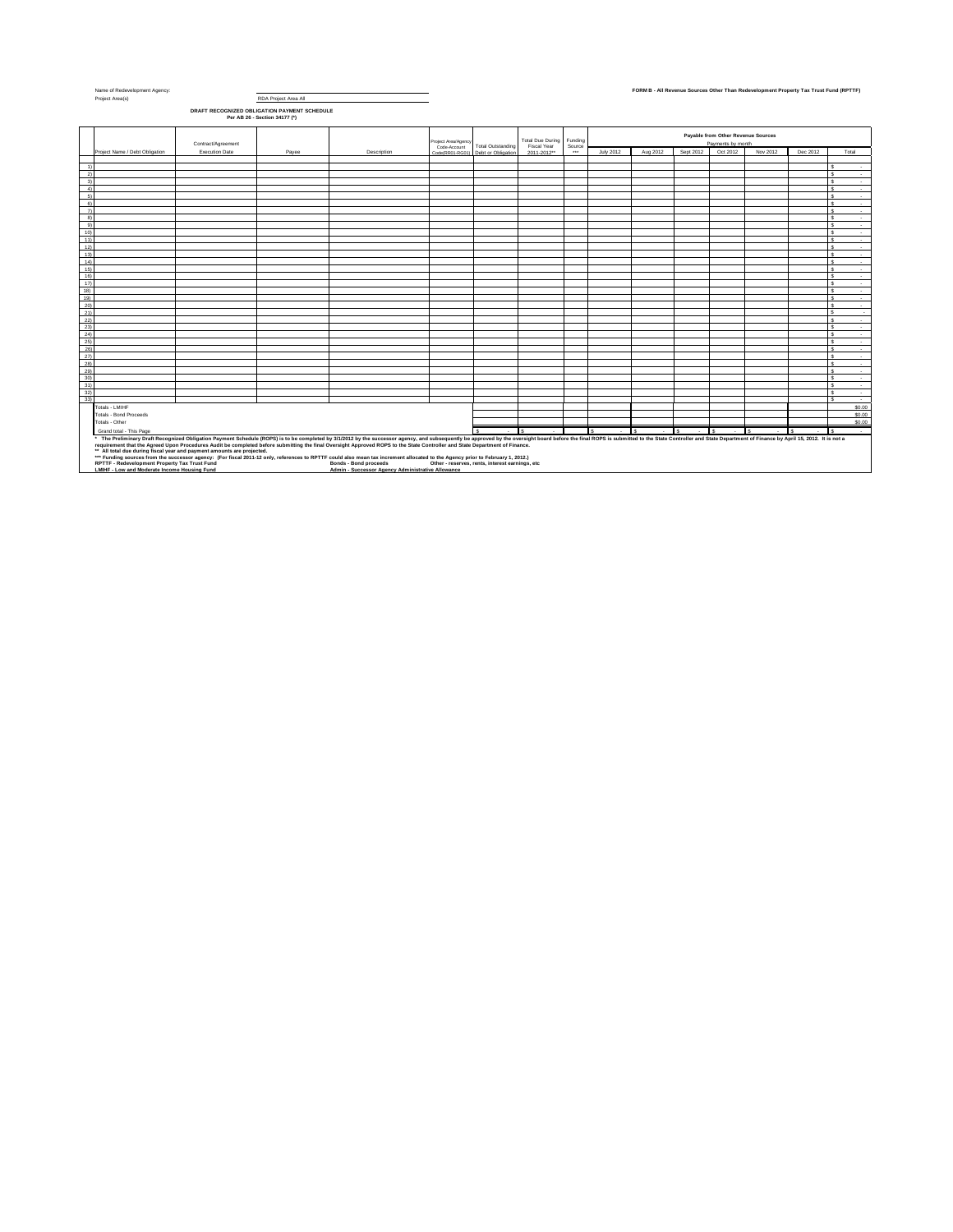| Name of Redevelopment Agency:<br>RDA Project Area All<br>Project Area(s)                            |                                                                                                   |                                              |                                                                                                                                                                                                                                |                     |                                                 |                  |          |                  |          |           |                                    | FORM B - All Revenue Sources Other Than Redevelopment Property Tax Trust Fund (RPTTF) |          |                  |
|-----------------------------------------------------------------------------------------------------|---------------------------------------------------------------------------------------------------|----------------------------------------------|--------------------------------------------------------------------------------------------------------------------------------------------------------------------------------------------------------------------------------|---------------------|-------------------------------------------------|------------------|----------|------------------|----------|-----------|------------------------------------|---------------------------------------------------------------------------------------|----------|------------------|
|                                                                                                     |                                                                                                   |                                              |                                                                                                                                                                                                                                |                     |                                                 |                  |          |                  |          |           |                                    |                                                                                       |          |                  |
|                                                                                                     |                                                                                                   | DRAFT RECOGNIZED OBLIGATION PAYMENT SCHEDULE |                                                                                                                                                                                                                                |                     |                                                 |                  |          |                  |          |           |                                    |                                                                                       |          |                  |
|                                                                                                     |                                                                                                   | Per AB 26 - Section 34177 (*)                |                                                                                                                                                                                                                                |                     |                                                 |                  |          |                  |          |           |                                    |                                                                                       |          |                  |
|                                                                                                     |                                                                                                   |                                              |                                                                                                                                                                                                                                |                     |                                                 |                  |          |                  |          |           |                                    |                                                                                       |          |                  |
|                                                                                                     |                                                                                                   |                                              |                                                                                                                                                                                                                                | Project Area/Agency |                                                 | Total Due During | Funding  |                  |          |           | Payable from Other Revenue Sources |                                                                                       |          |                  |
|                                                                                                     | Contract/Agreement                                                                                |                                              |                                                                                                                                                                                                                                | Code-Account        | <b>Total Outstanding</b>                        | Fiscal Year      | Source   |                  |          |           | Payments by month                  |                                                                                       |          |                  |
| Project Name / Debt Obligation                                                                      | Execution Date                                                                                    | Payee                                        | Description                                                                                                                                                                                                                    |                     | Code(RR01-RG01) Debt or Obligation              | 2011-2012**      | $\cdots$ | <b>July 2012</b> | Aug 2012 | Sept 2012 | Oct 2012                           | Nov 2012                                                                              | Dec 2012 | Total            |
|                                                                                                     |                                                                                                   |                                              |                                                                                                                                                                                                                                |                     |                                                 |                  |          |                  |          |           |                                    |                                                                                       |          |                  |
| 1)<br>2)                                                                                            |                                                                                                   |                                              |                                                                                                                                                                                                                                |                     |                                                 |                  |          |                  |          |           |                                    |                                                                                       |          | $\sim$           |
| 3)                                                                                                  |                                                                                                   |                                              |                                                                                                                                                                                                                                |                     |                                                 |                  |          |                  |          |           |                                    |                                                                                       |          | $\sim$<br>$\sim$ |
| 4)                                                                                                  |                                                                                                   |                                              |                                                                                                                                                                                                                                |                     |                                                 |                  |          |                  |          |           |                                    |                                                                                       |          | $\sim$           |
| 5)                                                                                                  |                                                                                                   |                                              |                                                                                                                                                                                                                                |                     |                                                 |                  |          |                  |          |           |                                    |                                                                                       |          | $\sim$           |
| 6)                                                                                                  |                                                                                                   |                                              |                                                                                                                                                                                                                                |                     |                                                 |                  |          |                  |          |           |                                    |                                                                                       |          | $\sim$           |
| $\overline{7}$                                                                                      |                                                                                                   |                                              |                                                                                                                                                                                                                                |                     |                                                 |                  |          |                  |          |           |                                    |                                                                                       |          | $\sim$           |
| 8)                                                                                                  |                                                                                                   |                                              |                                                                                                                                                                                                                                |                     |                                                 |                  |          |                  |          |           |                                    |                                                                                       |          | $\overline{a}$   |
| g)                                                                                                  |                                                                                                   |                                              |                                                                                                                                                                                                                                |                     |                                                 |                  |          |                  |          |           |                                    |                                                                                       |          | $\sim$           |
| 10)                                                                                                 |                                                                                                   |                                              |                                                                                                                                                                                                                                |                     |                                                 |                  |          |                  |          |           |                                    |                                                                                       |          | $\sim$           |
| 11)                                                                                                 |                                                                                                   |                                              |                                                                                                                                                                                                                                |                     |                                                 |                  |          |                  |          |           |                                    |                                                                                       |          | $\sim$           |
| 12)                                                                                                 |                                                                                                   |                                              |                                                                                                                                                                                                                                |                     |                                                 |                  |          |                  |          |           |                                    |                                                                                       |          | $\sim$           |
| 13)                                                                                                 |                                                                                                   |                                              |                                                                                                                                                                                                                                |                     |                                                 |                  |          |                  |          |           |                                    |                                                                                       |          | ٠                |
| 14)<br>15)                                                                                          |                                                                                                   |                                              |                                                                                                                                                                                                                                |                     |                                                 |                  |          |                  |          |           |                                    |                                                                                       |          | $\sim$<br>$\sim$ |
| 16)                                                                                                 |                                                                                                   |                                              |                                                                                                                                                                                                                                |                     |                                                 |                  |          |                  |          |           |                                    |                                                                                       |          | $\sim$           |
| 17)                                                                                                 |                                                                                                   |                                              |                                                                                                                                                                                                                                |                     |                                                 |                  |          |                  |          |           |                                    |                                                                                       |          | $\sim$           |
| 18)                                                                                                 |                                                                                                   |                                              |                                                                                                                                                                                                                                |                     |                                                 |                  |          |                  |          |           |                                    |                                                                                       |          | $\sim$           |
| 19)                                                                                                 |                                                                                                   |                                              |                                                                                                                                                                                                                                |                     |                                                 |                  |          |                  |          |           |                                    |                                                                                       |          | $\sim$           |
| 20)                                                                                                 |                                                                                                   |                                              |                                                                                                                                                                                                                                |                     |                                                 |                  |          |                  |          |           |                                    |                                                                                       |          | $\sim$           |
| 21)                                                                                                 |                                                                                                   |                                              |                                                                                                                                                                                                                                |                     |                                                 |                  |          |                  |          |           |                                    |                                                                                       |          | $\overline{a}$   |
| 22)                                                                                                 |                                                                                                   |                                              |                                                                                                                                                                                                                                |                     |                                                 |                  |          |                  |          |           |                                    |                                                                                       |          | $\sim$           |
| 23)                                                                                                 |                                                                                                   |                                              |                                                                                                                                                                                                                                |                     |                                                 |                  |          |                  |          |           |                                    |                                                                                       |          | $\sim$           |
| $^{24}$                                                                                             |                                                                                                   |                                              |                                                                                                                                                                                                                                |                     |                                                 |                  |          |                  |          |           |                                    |                                                                                       |          | $\sim$           |
| $^{25)}$                                                                                            |                                                                                                   |                                              |                                                                                                                                                                                                                                |                     |                                                 |                  |          |                  |          |           |                                    |                                                                                       |          | $\sim$           |
| 26)<br>27)                                                                                          |                                                                                                   |                                              |                                                                                                                                                                                                                                |                     |                                                 |                  |          |                  |          |           |                                    |                                                                                       |          | $\mathcal{L}$    |
| 28)                                                                                                 |                                                                                                   |                                              |                                                                                                                                                                                                                                |                     |                                                 |                  |          |                  |          |           |                                    |                                                                                       |          | $\sim$<br>$\sim$ |
| 29)                                                                                                 |                                                                                                   |                                              |                                                                                                                                                                                                                                |                     |                                                 |                  |          |                  |          |           |                                    |                                                                                       |          | $\sim$           |
| 30)                                                                                                 |                                                                                                   |                                              |                                                                                                                                                                                                                                |                     |                                                 |                  |          |                  |          |           |                                    |                                                                                       |          | $\sim$           |
| 31)                                                                                                 |                                                                                                   |                                              |                                                                                                                                                                                                                                |                     |                                                 |                  |          |                  |          |           |                                    |                                                                                       |          | $\sim$           |
| 32)                                                                                                 |                                                                                                   |                                              |                                                                                                                                                                                                                                |                     |                                                 |                  |          |                  |          |           |                                    |                                                                                       |          | $\sim$           |
| 33)                                                                                                 |                                                                                                   |                                              |                                                                                                                                                                                                                                |                     |                                                 |                  |          |                  |          |           |                                    |                                                                                       |          | $\sim$           |
| Totals - LMIHF                                                                                      |                                                                                                   |                                              |                                                                                                                                                                                                                                |                     |                                                 |                  |          |                  |          |           |                                    |                                                                                       |          | \$0.00           |
| <b>Totals - Bond Proceeds</b>                                                                       |                                                                                                   |                                              |                                                                                                                                                                                                                                |                     |                                                 |                  |          |                  |          |           |                                    |                                                                                       |          | \$0.00           |
| Totals - Other                                                                                      |                                                                                                   |                                              |                                                                                                                                                                                                                                |                     |                                                 |                  |          |                  |          |           |                                    |                                                                                       |          | \$0.00           |
| Grand total - This Page<br>$\sim$<br>¢<br>$\sim$<br>$\sim$<br>a.<br>$\sim$<br>. .<br>$\sim$<br>- 11 |                                                                                                   |                                              |                                                                                                                                                                                                                                |                     |                                                 |                  |          |                  |          |           | $\sim$                             |                                                                                       |          |                  |
|                                                                                                     |                                                                                                   |                                              | * The Preliminary Draft Recognized Obligation Payment Schedule (ROPS) is to be completed by 3/1/2012 by the successor agency, and subsequently be approved by the oversight board before the final ROPS is submitted to the St |                     |                                                 |                  |          |                  |          |           |                                    |                                                                                       |          |                  |
|                                                                                                     | ** All total due during fiscal year and payment amounts are projected.                            |                                              | requirement that the Agreed Upon Procedures Audit be completed before submitting the final Oversight Approved ROPS to the State Controller and State Department of Finance.                                                    |                     |                                                 |                  |          |                  |          |           |                                    |                                                                                       |          |                  |
|                                                                                                     |                                                                                                   |                                              | *** Funding sources from the successor agency: (For fiscal 2011-12 only, references to RPTTF could also mean tax increment allocated to the Agency prior to February 1, 2012.)                                                 |                     |                                                 |                  |          |                  |          |           |                                    |                                                                                       |          |                  |
| RPTTF - Redevelopment Property Tax Trust Fund                                                       |                                                                                                   |                                              | <b>Bonds - Bond proceeds</b>                                                                                                                                                                                                   |                     | Other - reserves, rents, interest earnings, etc |                  |          |                  |          |           |                                    |                                                                                       |          |                  |
|                                                                                                     | LMIHF - Low and Moderate Income Housing Fund<br>Admin - Successor Agency Administrative Allowance |                                              |                                                                                                                                                                                                                                |                     |                                                 |                  |          |                  |          |           |                                    |                                                                                       |          |                  |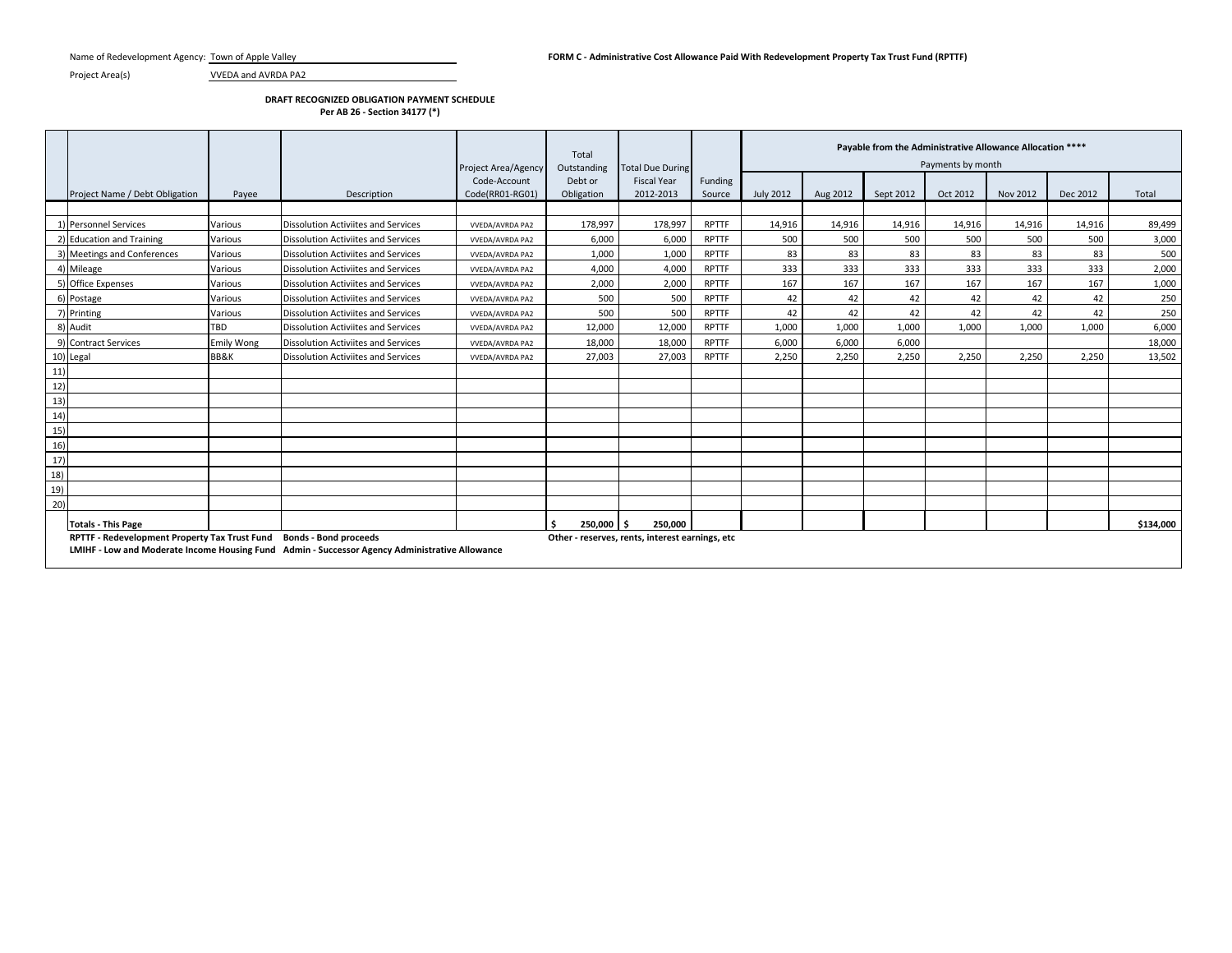Project Area(s) VVEDA and AVRDA PA2

## **DRAFT RECOGNIZED OBLIGATION PAYMENT SCHEDULE**

**Per AB 26 - Section 34177 (\*)**

|     |                                                                     |                   |                                                                                                | Project Area/Agency             | Total<br>Outstanding  | <b>Total Due During</b>                         |                   |                  | Payable from the Administrative Allowance Allocation ****<br>Payments by month |           |          |          |          |           |  |  |  |
|-----|---------------------------------------------------------------------|-------------------|------------------------------------------------------------------------------------------------|---------------------------------|-----------------------|-------------------------------------------------|-------------------|------------------|--------------------------------------------------------------------------------|-----------|----------|----------|----------|-----------|--|--|--|
|     | Project Name / Debt Obligation                                      | Payee             | Description                                                                                    | Code-Account<br>Code(RR01-RG01) | Debt or<br>Obligation | <b>Fiscal Year</b><br>2012-2013                 | Funding<br>Source | <b>July 2012</b> | Aug 2012                                                                       | Sept 2012 | Oct 2012 | Nov 2012 | Dec 2012 | Total     |  |  |  |
|     |                                                                     |                   |                                                                                                |                                 |                       |                                                 |                   |                  |                                                                                |           |          |          |          |           |  |  |  |
|     | 1) Personnel Services                                               | Various           | <b>Dissolution Activiites and Services</b>                                                     | VVEDA/AVRDA PA2                 | 178,997               | 178,997                                         | <b>RPTTF</b>      | 14,916           | 14,916                                                                         | 14,916    | 14,916   | 14,916   | 14,916   | 89,499    |  |  |  |
|     | 2) Education and Training                                           | Various           | Dissolution Activiites and Services                                                            | <b>VVEDA/AVRDA PA2</b>          | 6,000                 | 6,000                                           | <b>RPTTF</b>      | 500              | 500                                                                            | 500       | 500      | 500      | 500      | 3,000     |  |  |  |
|     | 3) Meetings and Conferences                                         | Various           | Dissolution Activiites and Services                                                            | <b>VVEDA/AVRDA PA2</b>          | 1,000                 | 1,000                                           | <b>RPTTF</b>      | 83               | 83                                                                             | 83        | 83       | 83       | 83       | 500       |  |  |  |
|     | 4) Mileage                                                          | Various           | Dissolution Activiites and Services                                                            | <b>VVEDA/AVRDA PA2</b>          | 4,000                 | 4,000                                           | <b>RPTTF</b>      | 333              | 333                                                                            | 333       | 333      | 333      | 333      | 2,000     |  |  |  |
|     | 5) Office Expenses                                                  | Various           | Dissolution Activiites and Services                                                            | <b>VVEDA/AVRDA PA2</b>          | 2,000                 | 2,000                                           | <b>RPTTF</b>      | 167              | 167                                                                            | 167       | 167      | 167      | 167      | 1,000     |  |  |  |
|     | 6) Postage                                                          | Various           | Dissolution Activiites and Services                                                            | <b>VVEDA/AVRDA PA2</b>          | 500                   | 500                                             | <b>RPTTF</b>      | 42               | 42                                                                             | 42        | 42       | 42       | 42       | 250       |  |  |  |
|     | 7) Printing                                                         | Various           | Dissolution Activiites and Services                                                            | VVEDA/AVRDA PA2                 | 500                   | 500                                             | <b>RPTTF</b>      | 42               | 42                                                                             | 42        | 42       | 42       | 42       | 250       |  |  |  |
|     | 8) Audit                                                            | <b>TBD</b>        | <b>Dissolution Activiites and Services</b>                                                     | VVEDA/AVRDA PA2                 | 12,000                | 12,000                                          | RPTTF             | 1,000            | 1,000                                                                          | 1,000     | 1,000    | 1,000    | 1,000    | 6,000     |  |  |  |
|     | 9) Contract Services                                                | <b>Emily Wong</b> | Dissolution Activiites and Services                                                            | <b>VVEDA/AVRDA PA2</b>          | 18,000                | 18.000                                          | <b>RPTTF</b>      | 6.000            | 6.000                                                                          | 6.000     |          |          |          | 18,000    |  |  |  |
|     | 10) Legal                                                           | BB&K              | <b>Dissolution Activiites and Services</b>                                                     | VVEDA/AVRDA PA2                 | 27,003                | 27,003                                          | <b>RPTTF</b>      | 2,250            | 2.250                                                                          | 2,250     | 2,250    | 2,250    | 2.250    | 13,502    |  |  |  |
| 11) |                                                                     |                   |                                                                                                |                                 |                       |                                                 |                   |                  |                                                                                |           |          |          |          |           |  |  |  |
| 12) |                                                                     |                   |                                                                                                |                                 |                       |                                                 |                   |                  |                                                                                |           |          |          |          |           |  |  |  |
| 13) |                                                                     |                   |                                                                                                |                                 |                       |                                                 |                   |                  |                                                                                |           |          |          |          |           |  |  |  |
| 14) |                                                                     |                   |                                                                                                |                                 |                       |                                                 |                   |                  |                                                                                |           |          |          |          |           |  |  |  |
| 15) |                                                                     |                   |                                                                                                |                                 |                       |                                                 |                   |                  |                                                                                |           |          |          |          |           |  |  |  |
| 16) |                                                                     |                   |                                                                                                |                                 |                       |                                                 |                   |                  |                                                                                |           |          |          |          |           |  |  |  |
| 17) |                                                                     |                   |                                                                                                |                                 |                       |                                                 |                   |                  |                                                                                |           |          |          |          |           |  |  |  |
| 18) |                                                                     |                   |                                                                                                |                                 |                       |                                                 |                   |                  |                                                                                |           |          |          |          |           |  |  |  |
| 19) |                                                                     |                   |                                                                                                |                                 |                       |                                                 |                   |                  |                                                                                |           |          |          |          |           |  |  |  |
| 20) |                                                                     |                   |                                                                                                |                                 |                       |                                                 |                   |                  |                                                                                |           |          |          |          |           |  |  |  |
|     | <b>Totals - This Page</b>                                           |                   |                                                                                                |                                 | 250.000               | 250.000                                         |                   |                  |                                                                                |           |          |          |          | \$134.000 |  |  |  |
|     | RPTTF - Redevelopment Property Tax Trust Fund Bonds - Bond proceeds |                   | LMIHF - Low and Moderate Income Housing Fund Admin - Successor Agency Administrative Allowance |                                 |                       | Other - reserves, rents, interest earnings, etc |                   |                  |                                                                                |           |          |          |          |           |  |  |  |